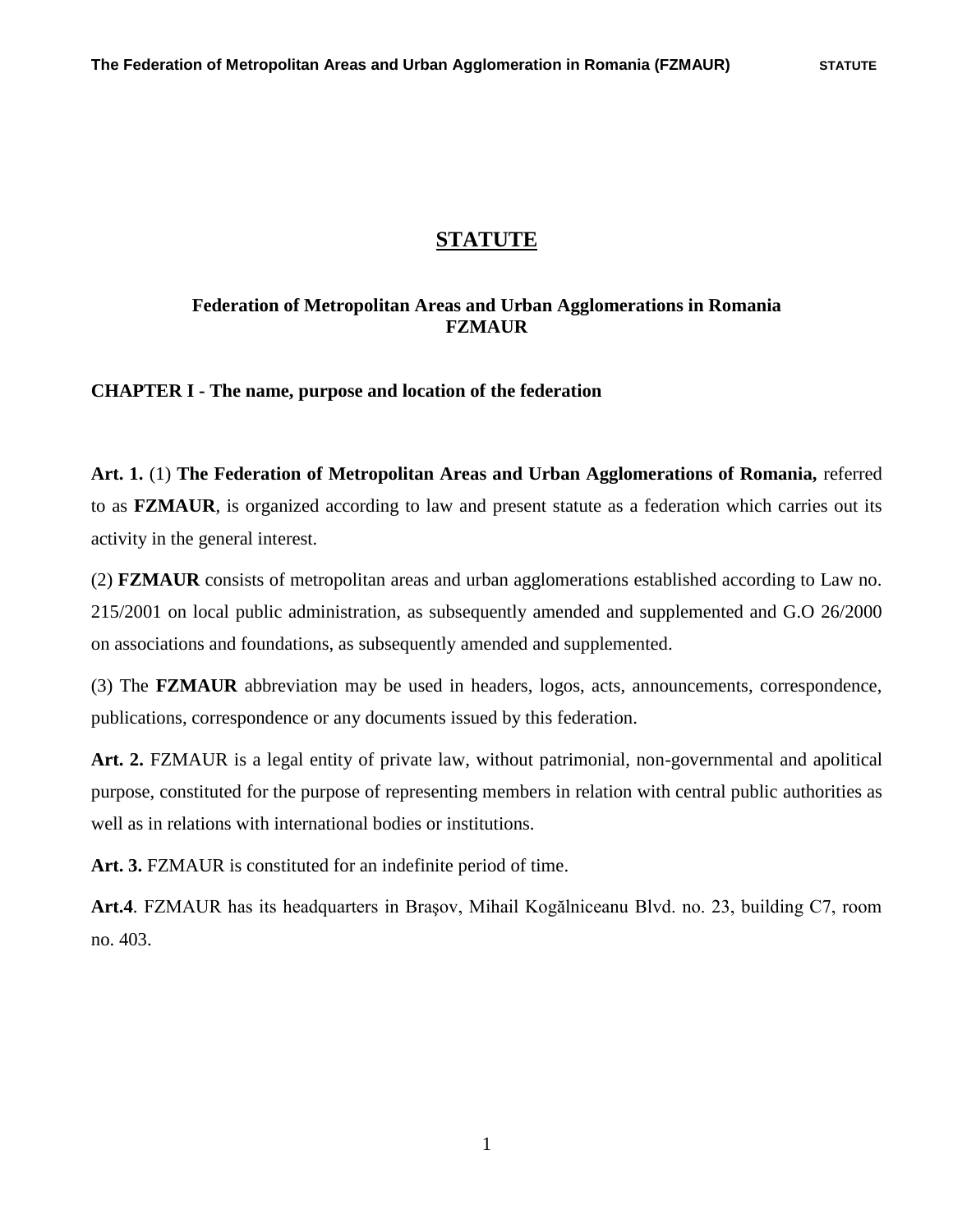# **STATUTE**

## **Federation of Metropolitan Areas and Urban Agglomerations in Romania FZMAUR**

**CHAPTER I - The name, purpose and location of the federation**

**Art. 1.** (1) **The Federation of Metropolitan Areas and Urban Agglomerations of Romania,** referred to as **FZMAUR**, is organized according to law and present statute as a federation which carries out its activity in the general interest.

(2) **FZMAUR** consists of metropolitan areas and urban agglomerations established according to Law no. 215/2001 on local public administration, as subsequently amended and supplemented and G.O 26/2000 on associations and foundations, as subsequently amended and supplemented.

(3) The **FZMAUR** abbreviation may be used in headers, logos, acts, announcements, correspondence, publications, correspondence or any documents issued by this federation.

**Art. 2.** FZMAUR is a legal entity of private law, without patrimonial, non-governmental and apolitical purpose, constituted for the purpose of representing members in relation with central public authorities as well as in relations with international bodies or institutions.

**Art. 3.** FZMAUR is constituted for an indefinite period of time.

**Art.4**. FZMAUR has its headquarters in Braşov, Mihail Kogălniceanu Blvd. no. 23, building C7, room no. 403.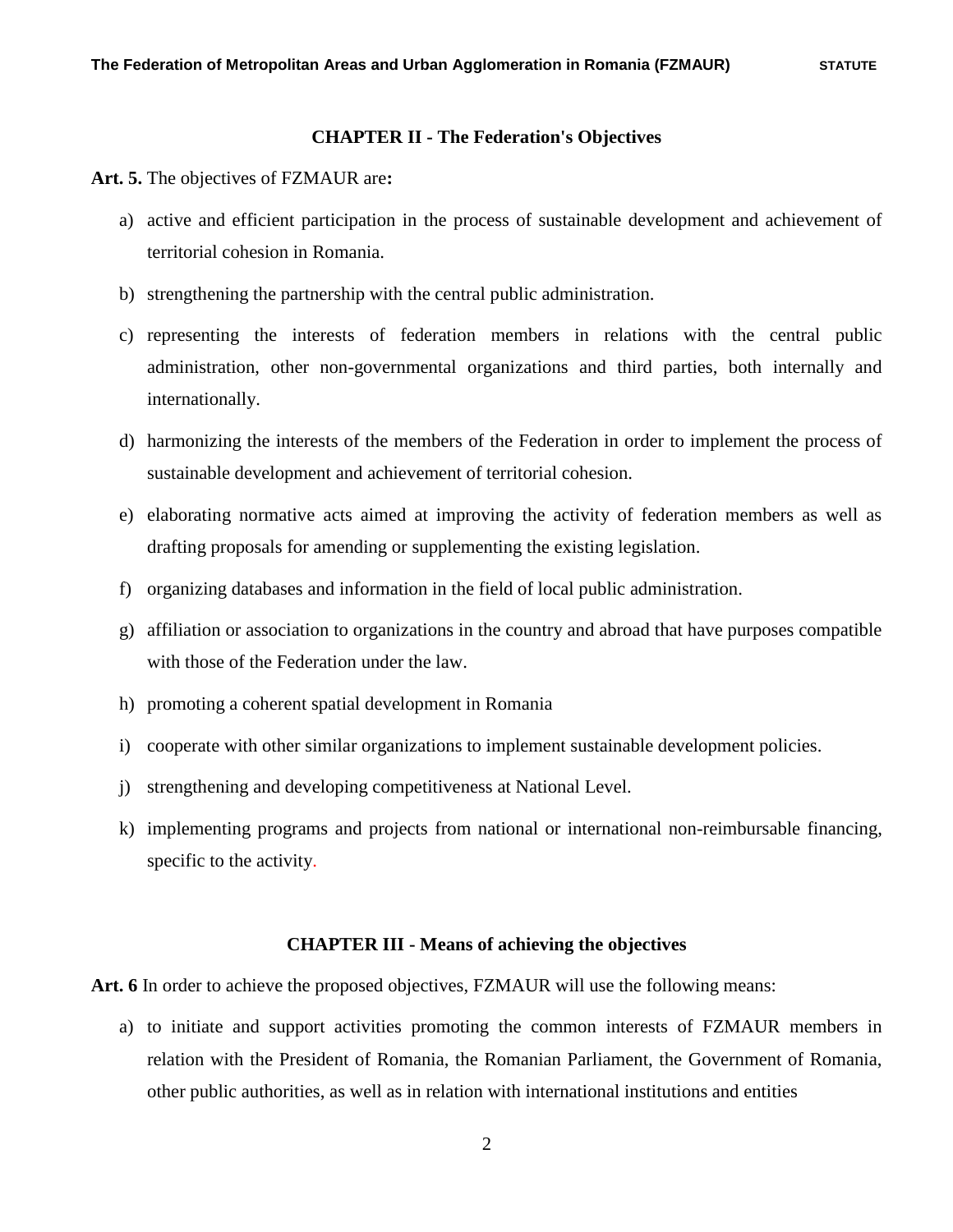#### **CHAPTER II - The Federation's Objectives**

**Art. 5.** The objectives of FZMAUR are**:**

- a) active and efficient participation in the process of sustainable development and achievement of territorial cohesion in Romania.
- b) strengthening the partnership with the central public administration.
- c) representing the interests of federation members in relations with the central public administration, other non-governmental organizations and third parties, both internally and internationally.
- d) harmonizing the interests of the members of the Federation in order to implement the process of sustainable development and achievement of territorial cohesion.
- e) elaborating normative acts aimed at improving the activity of federation members as well as drafting proposals for amending or supplementing the existing legislation.
- f) organizing databases and information in the field of local public administration.
- g) affiliation or association to organizations in the country and abroad that have purposes compatible with those of the Federation under the law.
- h) promoting a coherent spatial development in Romania
- i) cooperate with other similar organizations to implement sustainable development policies.
- j) strengthening and developing competitiveness at National Level.
- k) implementing programs and projects from national or international non-reimbursable financing, specific to the activity.

#### **CHAPTER III - Means of achieving the objectives**

**Art. 6** In order to achieve the proposed objectives, FZMAUR will use the following means:

a) to initiate and support activities promoting the common interests of FZMAUR members in relation with the President of Romania, the Romanian Parliament, the Government of Romania, other public authorities, as well as in relation with international institutions and entities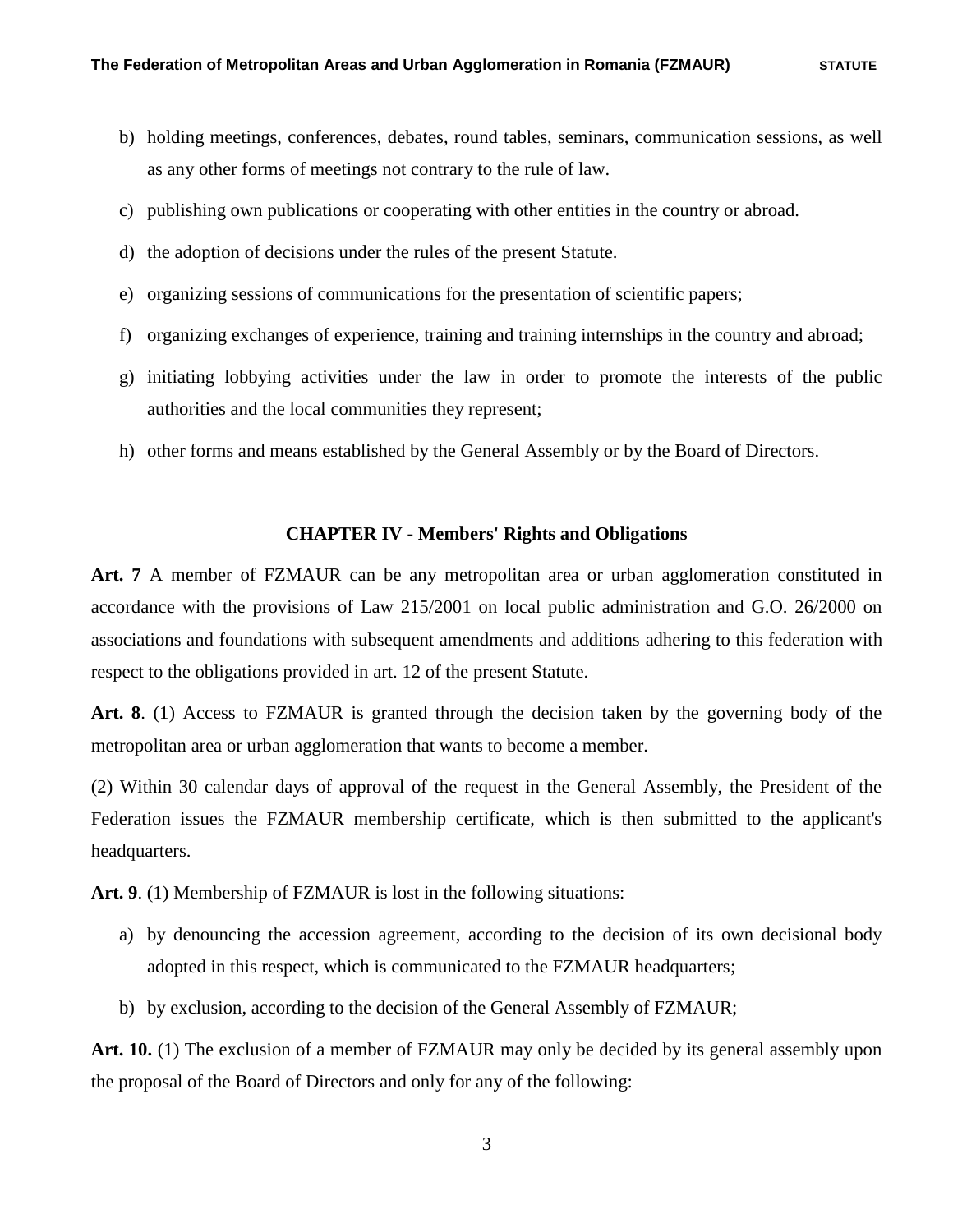- b) holding meetings, conferences, debates, round tables, seminars, communication sessions, as well as any other forms of meetings not contrary to the rule of law.
- c) publishing own publications or cooperating with other entities in the country or abroad.
- d) the adoption of decisions under the rules of the present Statute.
- e) organizing sessions of communications for the presentation of scientific papers;
- f) organizing exchanges of experience, training and training internships in the country and abroad;
- g) initiating lobbying activities under the law in order to promote the interests of the public authorities and the local communities they represent;
- h) other forms and means established by the General Assembly or by the Board of Directors.

#### **CHAPTER IV - Members' Rights and Obligations**

**Art. 7** A member of FZMAUR can be any metropolitan area or urban agglomeration constituted in accordance with the provisions of Law 215/2001 on local public administration and G.O. 26/2000 on associations and foundations with subsequent amendments and additions adhering to this federation with respect to the obligations provided in art. 12 of the present Statute.

**Art. 8**. (1) Access to FZMAUR is granted through the decision taken by the governing body of the metropolitan area or urban agglomeration that wants to become a member.

(2) Within 30 calendar days of approval of the request in the General Assembly, the President of the Federation issues the FZMAUR membership certificate, which is then submitted to the applicant's headquarters.

**Art. 9**. (1) Membership of FZMAUR is lost in the following situations:

- a) by denouncing the accession agreement, according to the decision of its own decisional body adopted in this respect, which is communicated to the FZMAUR headquarters;
- b) by exclusion, according to the decision of the General Assembly of FZMAUR;

**Art. 10.** (1) The exclusion of a member of FZMAUR may only be decided by its general assembly upon the proposal of the Board of Directors and only for any of the following: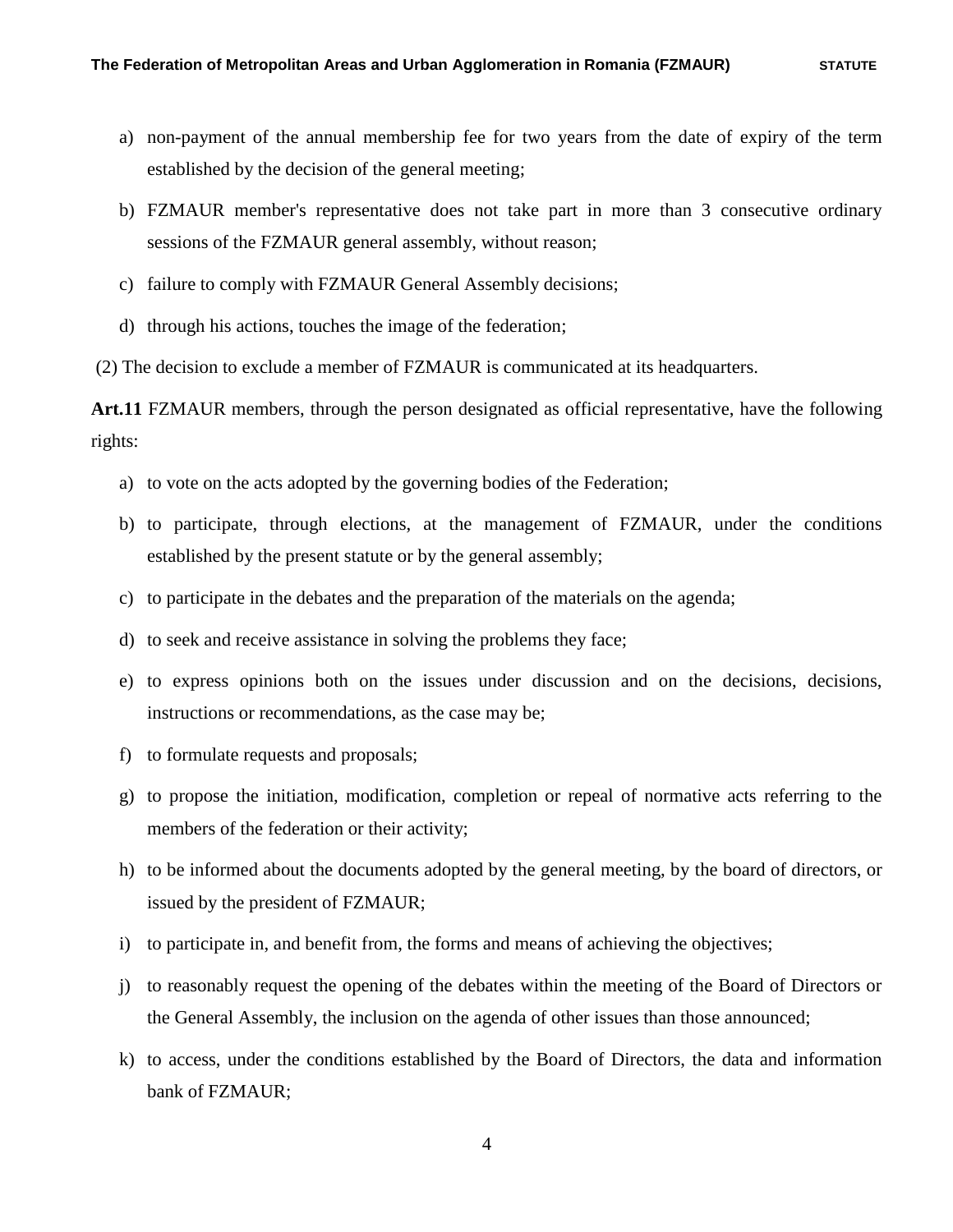- a) non-payment of the annual membership fee for two years from the date of expiry of the term established by the decision of the general meeting;
- b) FZMAUR member's representative does not take part in more than 3 consecutive ordinary sessions of the FZMAUR general assembly, without reason;
- c) failure to comply with FZMAUR General Assembly decisions;
- d) through his actions, touches the image of the federation;

(2) The decision to exclude a member of FZMAUR is communicated at its headquarters.

**Art.11** FZMAUR members, through the person designated as official representative, have the following rights:

- a) to vote on the acts adopted by the governing bodies of the Federation;
- b) to participate, through elections, at the management of FZMAUR, under the conditions established by the present statute or by the general assembly;
- c) to participate in the debates and the preparation of the materials on the agenda;
- d) to seek and receive assistance in solving the problems they face;
- e) to express opinions both on the issues under discussion and on the decisions, decisions, instructions or recommendations, as the case may be;
- f) to formulate requests and proposals;
- g) to propose the initiation, modification, completion or repeal of normative acts referring to the members of the federation or their activity;
- h) to be informed about the documents adopted by the general meeting, by the board of directors, or issued by the president of FZMAUR;
- i) to participate in, and benefit from, the forms and means of achieving the objectives;
- j) to reasonably request the opening of the debates within the meeting of the Board of Directors or the General Assembly, the inclusion on the agenda of other issues than those announced;
- k) to access, under the conditions established by the Board of Directors, the data and information bank of FZMAUR;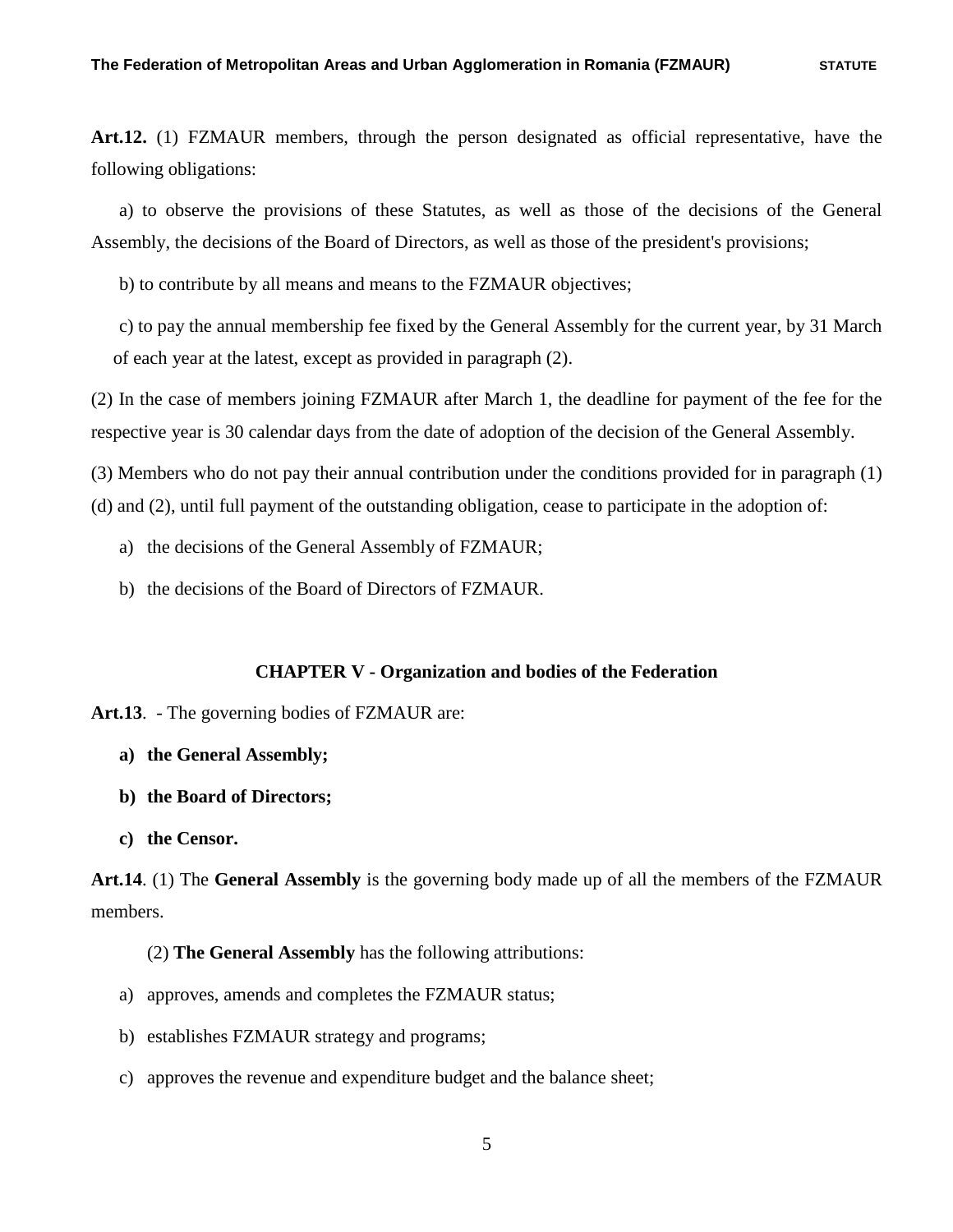**Art.12.** (1) FZMAUR members, through the person designated as official representative, have the following obligations:

a) to observe the provisions of these Statutes, as well as those of the decisions of the General Assembly, the decisions of the Board of Directors, as well as those of the president's provisions;

b) to contribute by all means and means to the FZMAUR objectives;

c) to pay the annual membership fee fixed by the General Assembly for the current year, by 31 March of each year at the latest, except as provided in paragraph (2).

(2) In the case of members joining FZMAUR after March 1, the deadline for payment of the fee for the respective year is 30 calendar days from the date of adoption of the decision of the General Assembly.

(3) Members who do not pay their annual contribution under the conditions provided for in paragraph (1) (d) and (2), until full payment of the outstanding obligation, cease to participate in the adoption of:

- a) the decisions of the General Assembly of FZMAUR;
- b) the decisions of the Board of Directors of FZMAUR.

### **CHAPTER V - Organization and bodies of the Federation**

**Art.13**. - The governing bodies of FZMAUR are:

- **a) the General Assembly;**
- **b) the Board of Directors;**
- **c) the Censor.**

**Art.14**. (1) The **General Assembly** is the governing body made up of all the members of the FZMAUR members.

(2) **The General Assembly** has the following attributions:

- a) approves, amends and completes the FZMAUR status;
- b) establishes FZMAUR strategy and programs;
- c) approves the revenue and expenditure budget and the balance sheet;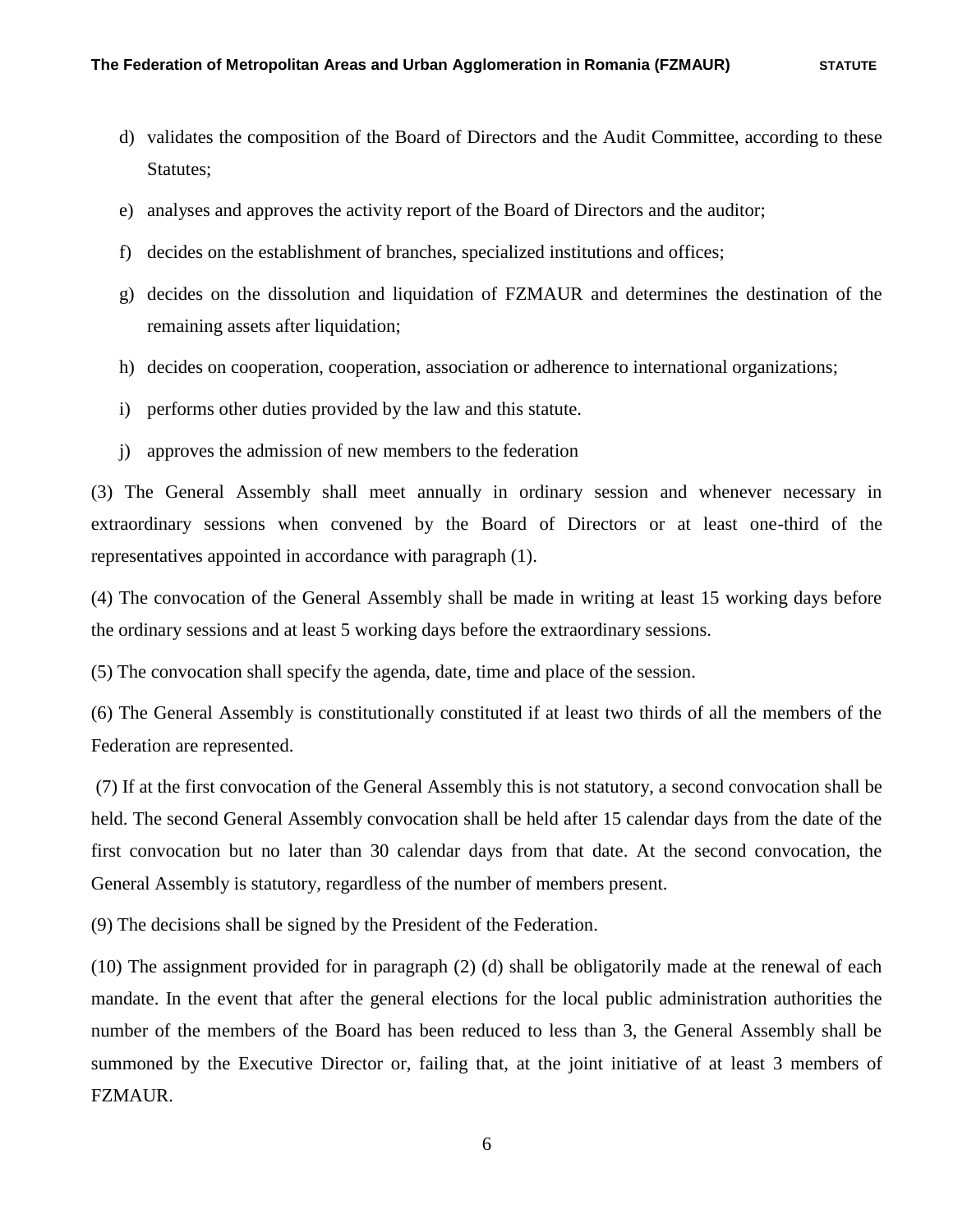- d) validates the composition of the Board of Directors and the Audit Committee, according to these Statutes;
- e) analyses and approves the activity report of the Board of Directors and the auditor;
- f) decides on the establishment of branches, specialized institutions and offices;
- g) decides on the dissolution and liquidation of FZMAUR and determines the destination of the remaining assets after liquidation;
- h) decides on cooperation, cooperation, association or adherence to international organizations;
- i) performs other duties provided by the law and this statute.
- j) approves the admission of new members to the federation

(3) The General Assembly shall meet annually in ordinary session and whenever necessary in extraordinary sessions when convened by the Board of Directors or at least one-third of the representatives appointed in accordance with paragraph (1).

(4) The convocation of the General Assembly shall be made in writing at least 15 working days before the ordinary sessions and at least 5 working days before the extraordinary sessions.

(5) The convocation shall specify the agenda, date, time and place of the session.

(6) The General Assembly is constitutionally constituted if at least two thirds of all the members of the Federation are represented.

(7) If at the first convocation of the General Assembly this is not statutory, a second convocation shall be held. The second General Assembly convocation shall be held after 15 calendar days from the date of the first convocation but no later than 30 calendar days from that date. At the second convocation, the General Assembly is statutory, regardless of the number of members present.

(9) The decisions shall be signed by the President of the Federation.

(10) The assignment provided for in paragraph (2) (d) shall be obligatorily made at the renewal of each mandate. In the event that after the general elections for the local public administration authorities the number of the members of the Board has been reduced to less than 3, the General Assembly shall be summoned by the Executive Director or, failing that, at the joint initiative of at least 3 members of FZMAUR.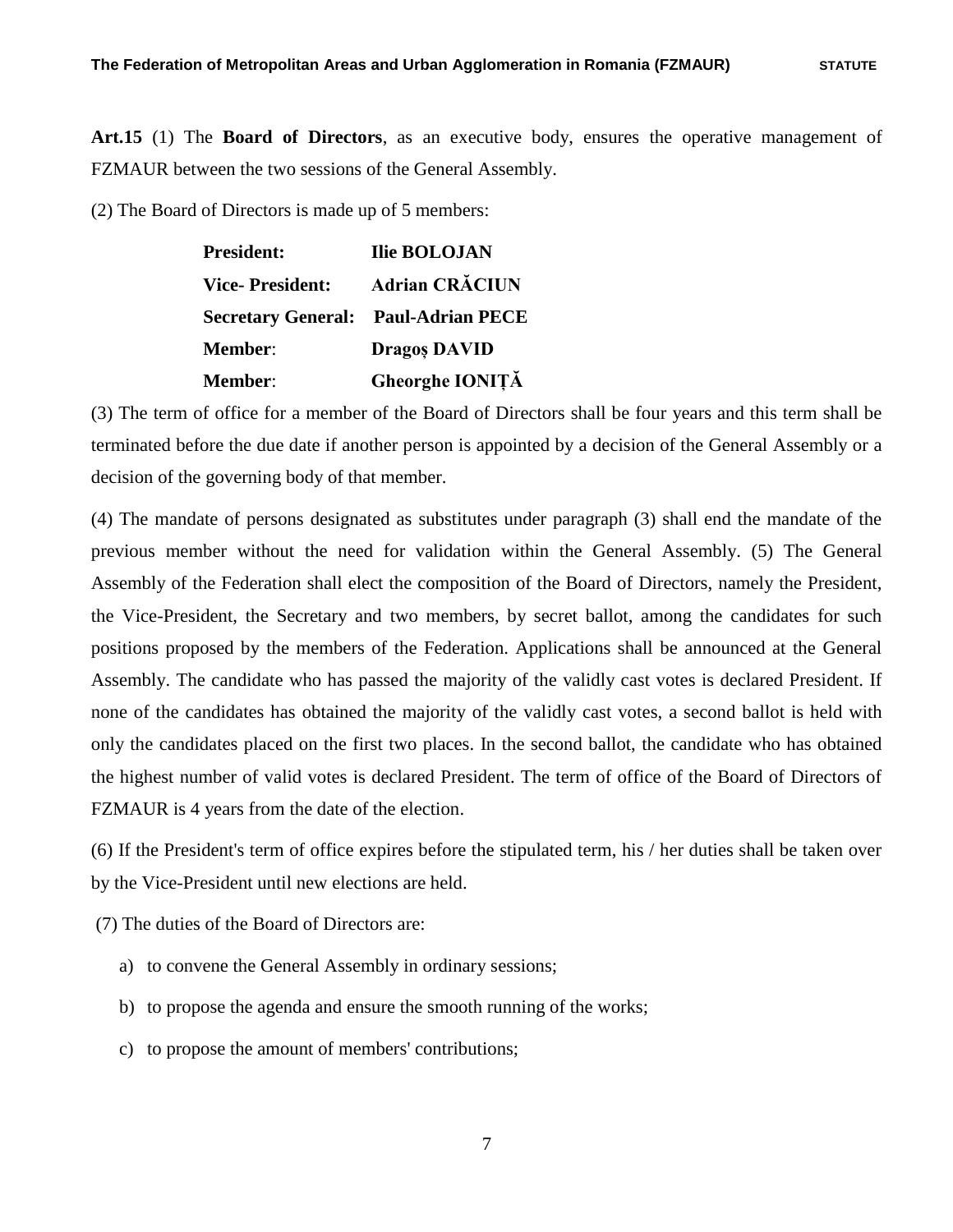**Art.15** (1) The **Board of Directors**, as an executive body, ensures the operative management of FZMAUR between the two sessions of the General Assembly.

(2) The Board of Directors is made up of 5 members:

| <b>President:</b>      | <b>Ilie BOLOJAN</b>                        |
|------------------------|--------------------------------------------|
| <b>Vice-President:</b> | <b>Adrian CRĂCIUN</b>                      |
|                        | <b>Secretary General: Paul-Adrian PECE</b> |
| <b>Member:</b>         | <b>Dragos DAVID</b>                        |
| <b>Member:</b>         | Gheorghe IONIȚĂ                            |

(3) The term of office for a member of the Board of Directors shall be four years and this term shall be terminated before the due date if another person is appointed by a decision of the General Assembly or a decision of the governing body of that member.

(4) The mandate of persons designated as substitutes under paragraph (3) shall end the mandate of the previous member without the need for validation within the General Assembly. (5) The General Assembly of the Federation shall elect the composition of the Board of Directors, namely the President, the Vice-President, the Secretary and two members, by secret ballot, among the candidates for such positions proposed by the members of the Federation. Applications shall be announced at the General Assembly. The candidate who has passed the majority of the validly cast votes is declared President. If none of the candidates has obtained the majority of the validly cast votes, a second ballot is held with only the candidates placed on the first two places. In the second ballot, the candidate who has obtained the highest number of valid votes is declared President. The term of office of the Board of Directors of FZMAUR is 4 years from the date of the election.

(6) If the President's term of office expires before the stipulated term, his / her duties shall be taken over by the Vice-President until new elections are held.

(7) The duties of the Board of Directors are:

- a) to convene the General Assembly in ordinary sessions;
- b) to propose the agenda and ensure the smooth running of the works;
- c) to propose the amount of members' contributions;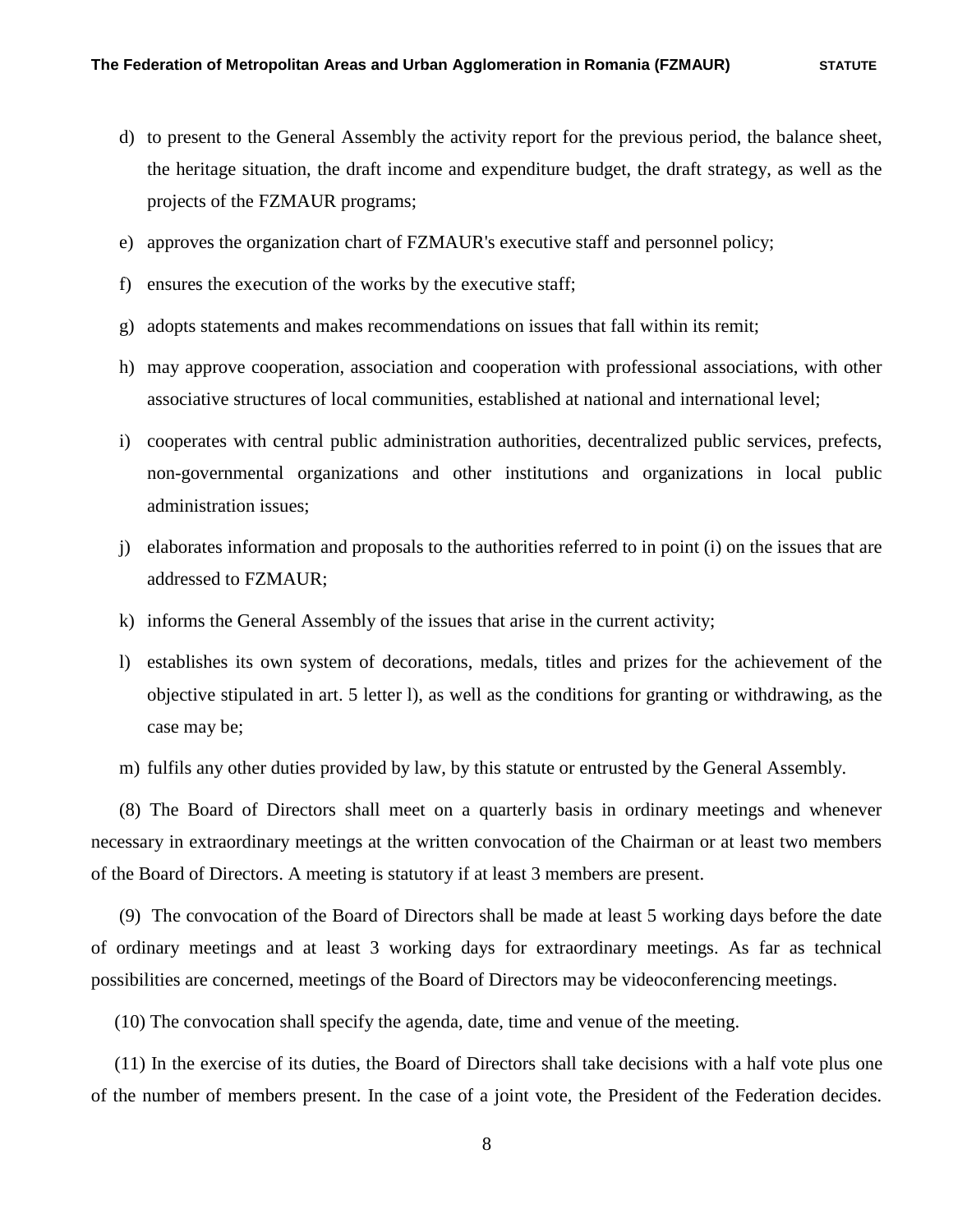- d) to present to the General Assembly the activity report for the previous period, the balance sheet, the heritage situation, the draft income and expenditure budget, the draft strategy, as well as the projects of the FZMAUR programs;
- e) approves the organization chart of FZMAUR's executive staff and personnel policy;
- f) ensures the execution of the works by the executive staff;
- g) adopts statements and makes recommendations on issues that fall within its remit;
- h) may approve cooperation, association and cooperation with professional associations, with other associative structures of local communities, established at national and international level;
- i) cooperates with central public administration authorities, decentralized public services, prefects, non-governmental organizations and other institutions and organizations in local public administration issues;
- j) elaborates information and proposals to the authorities referred to in point (i) on the issues that are addressed to FZMAUR;
- k) informs the General Assembly of the issues that arise in the current activity;
- l) establishes its own system of decorations, medals, titles and prizes for the achievement of the objective stipulated in art. 5 letter l), as well as the conditions for granting or withdrawing, as the case may be;
- m) fulfils any other duties provided by law, by this statute or entrusted by the General Assembly.

 (8) The Board of Directors shall meet on a quarterly basis in ordinary meetings and whenever necessary in extraordinary meetings at the written convocation of the Chairman or at least two members of the Board of Directors. A meeting is statutory if at least 3 members are present.

 (9) The convocation of the Board of Directors shall be made at least 5 working days before the date of ordinary meetings and at least 3 working days for extraordinary meetings. As far as technical possibilities are concerned, meetings of the Board of Directors may be videoconferencing meetings.

(10) The convocation shall specify the agenda, date, time and venue of the meeting.

 (11) In the exercise of its duties, the Board of Directors shall take decisions with a half vote plus one of the number of members present. In the case of a joint vote, the President of the Federation decides.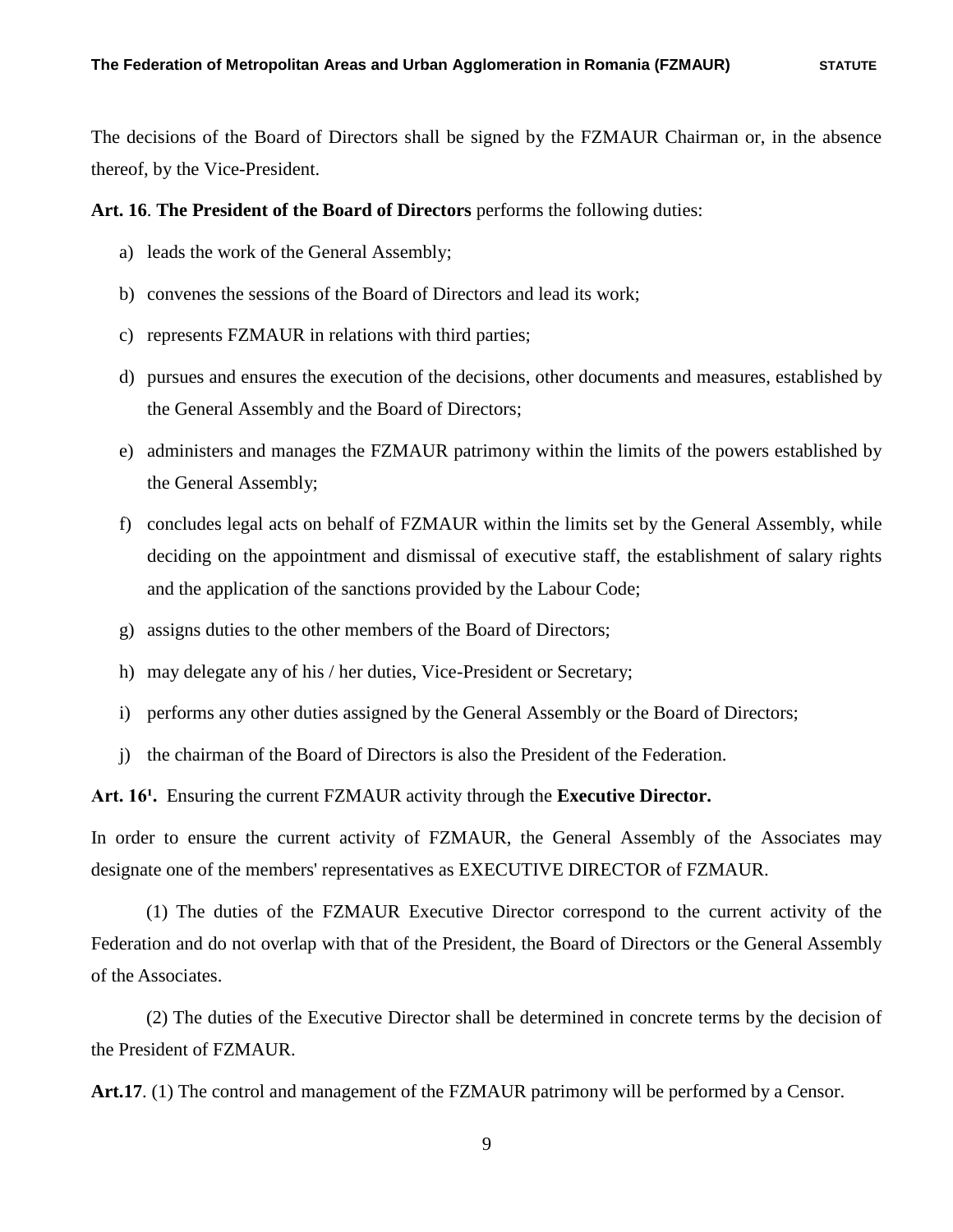The decisions of the Board of Directors shall be signed by the FZMAUR Chairman or, in the absence thereof, by the Vice-President.

## **Art. 16**. **The President of the Board of Directors** performs the following duties:

- a) leads the work of the General Assembly;
- b) convenes the sessions of the Board of Directors and lead its work;
- c) represents FZMAUR in relations with third parties;
- d) pursues and ensures the execution of the decisions, other documents and measures, established by the General Assembly and the Board of Directors;
- e) administers and manages the FZMAUR patrimony within the limits of the powers established by the General Assembly;
- f) concludes legal acts on behalf of FZMAUR within the limits set by the General Assembly, while deciding on the appointment and dismissal of executive staff, the establishment of salary rights and the application of the sanctions provided by the Labour Code;
- g) assigns duties to the other members of the Board of Directors;
- h) may delegate any of his / her duties, Vice-President or Secretary;
- i) performs any other duties assigned by the General Assembly or the Board of Directors;
- j) the chairman of the Board of Directors is also the President of the Federation.

Art. 16<sup>1</sup>. Ensuring the current FZMAUR activity through the **Executive Director.** 

In order to ensure the current activity of FZMAUR, the General Assembly of the Associates may designate one of the members' representatives as EXECUTIVE DIRECTOR of FZMAUR.

(1) The duties of the FZMAUR Executive Director correspond to the current activity of the Federation and do not overlap with that of the President, the Board of Directors or the General Assembly of the Associates.

(2) The duties of the Executive Director shall be determined in concrete terms by the decision of the President of FZMAUR.

**Art.17**. (1) The control and management of the FZMAUR patrimony will be performed by a Censor.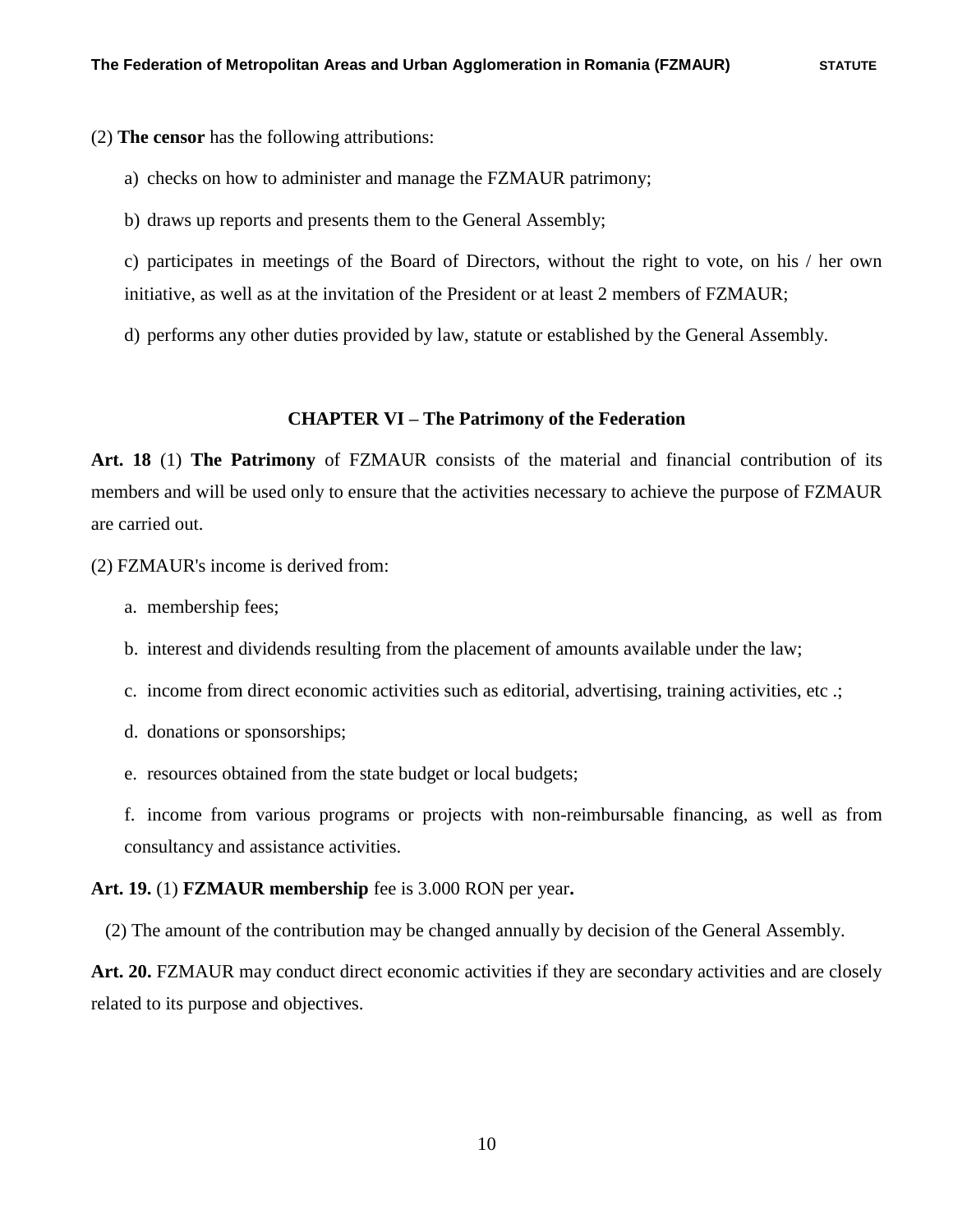(2) **The censor** has the following attributions:

- a) checks on how to administer and manage the FZMAUR patrimony;
- b) draws up reports and presents them to the General Assembly;

c) participates in meetings of the Board of Directors, without the right to vote, on his / her own initiative, as well as at the invitation of the President or at least 2 members of FZMAUR;

d) performs any other duties provided by law, statute or established by the General Assembly.

## **CHAPTER VI – The Patrimony of the Federation**

**Art. 18** (1) **The Patrimony** of FZMAUR consists of the material and financial contribution of its members and will be used only to ensure that the activities necessary to achieve the purpose of FZMAUR are carried out.

(2) FZMAUR's income is derived from:

- a. membership fees;
- b. interest and dividends resulting from the placement of amounts available under the law;
- c. income from direct economic activities such as editorial, advertising, training activities, etc .;
- d. donations or sponsorships;
- e. resources obtained from the state budget or local budgets;

f. income from various programs or projects with non-reimbursable financing, as well as from consultancy and assistance activities.

### **Art. 19.** (1) **FZMAUR membership** fee is 3.000 RON per year**.**

(2) The amount of the contribution may be changed annually by decision of the General Assembly.

**Art. 20.** FZMAUR may conduct direct economic activities if they are secondary activities and are closely related to its purpose and objectives.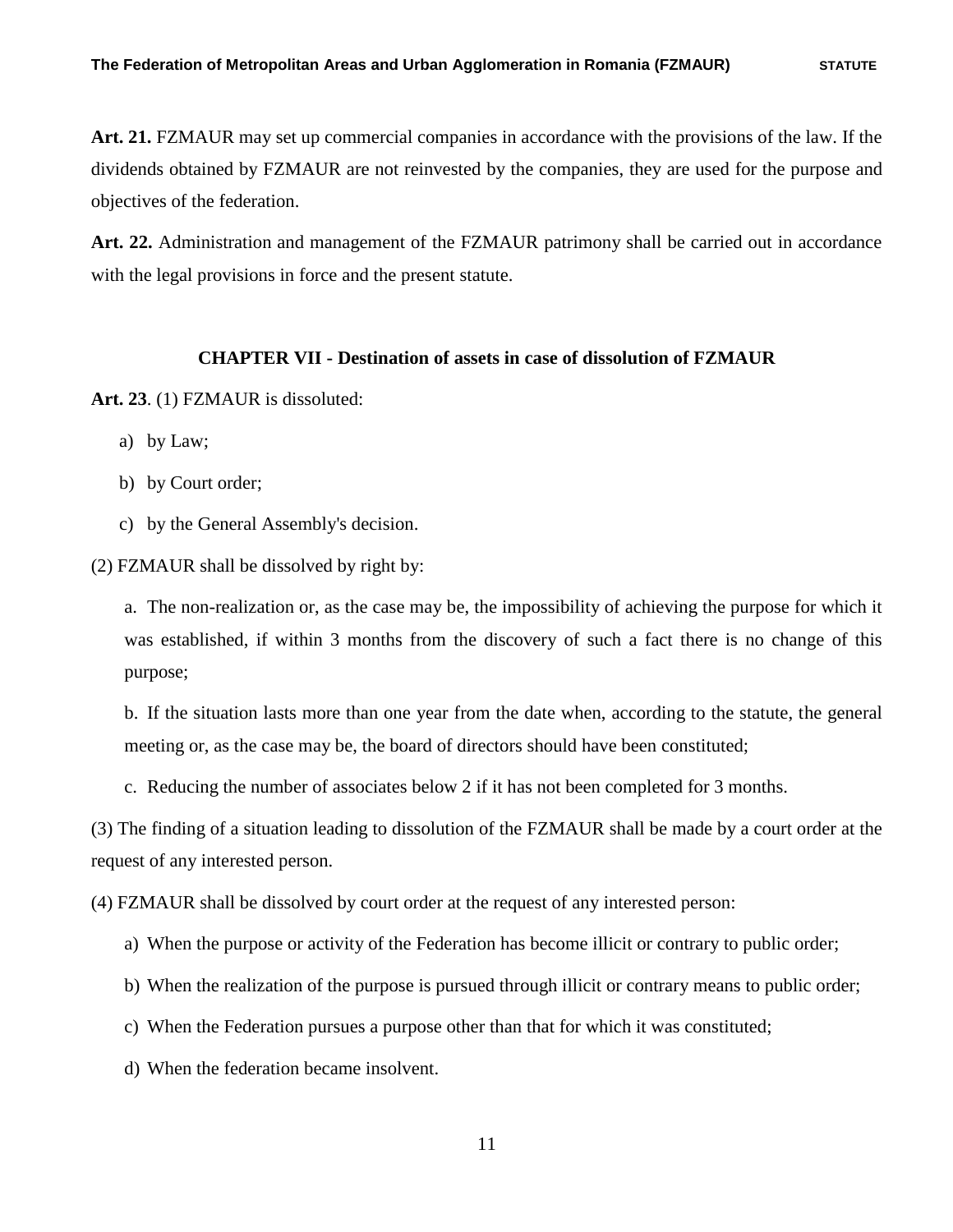**Art. 21.** FZMAUR may set up commercial companies in accordance with the provisions of the law. If the dividends obtained by FZMAUR are not reinvested by the companies, they are used for the purpose and objectives of the federation.

**Art. 22.** Administration and management of the FZMAUR patrimony shall be carried out in accordance with the legal provisions in force and the present statute.

#### **CHAPTER VII - Destination of assets in case of dissolution of FZMAUR**

**Art. 23**. (1) FZMAUR is dissoluted:

- a) by Law;
- b) by Court order;
- c) by the General Assembly's decision.

(2) FZMAUR shall be dissolved by right by:

a. The non-realization or, as the case may be, the impossibility of achieving the purpose for which it was established, if within 3 months from the discovery of such a fact there is no change of this purpose;

b. If the situation lasts more than one year from the date when, according to the statute, the general meeting or, as the case may be, the board of directors should have been constituted;

c. Reducing the number of associates below 2 if it has not been completed for 3 months.

(3) The finding of a situation leading to dissolution of the FZMAUR shall be made by a court order at the request of any interested person.

(4) FZMAUR shall be dissolved by court order at the request of any interested person:

a) When the purpose or activity of the Federation has become illicit or contrary to public order;

b) When the realization of the purpose is pursued through illicit or contrary means to public order;

c) When the Federation pursues a purpose other than that for which it was constituted;

d) When the federation became insolvent.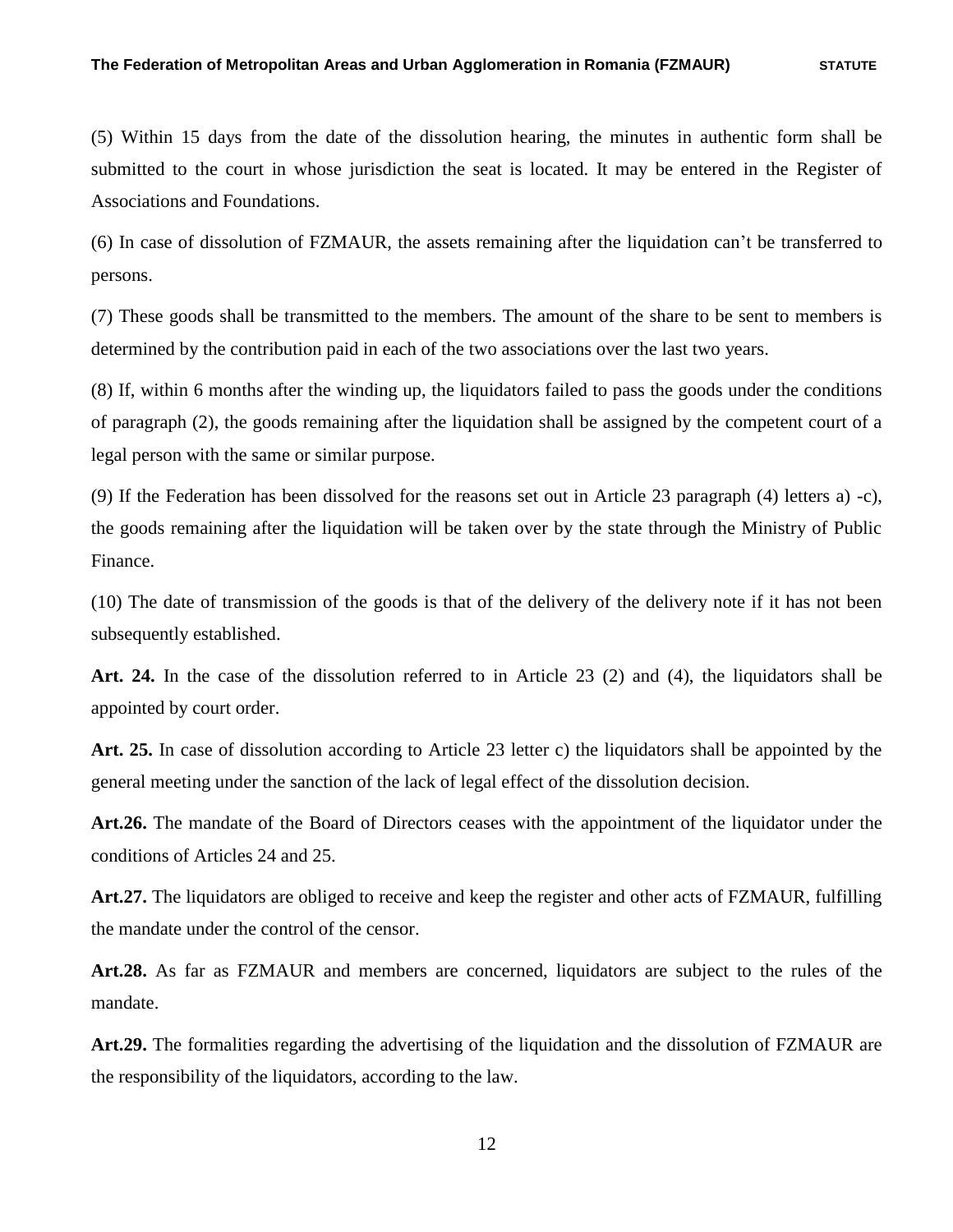(5) Within 15 days from the date of the dissolution hearing, the minutes in authentic form shall be submitted to the court in whose jurisdiction the seat is located. It may be entered in the Register of Associations and Foundations.

(6) In case of dissolution of FZMAUR, the assets remaining after the liquidation can't be transferred to persons.

(7) These goods shall be transmitted to the members. The amount of the share to be sent to members is determined by the contribution paid in each of the two associations over the last two years.

(8) If, within 6 months after the winding up, the liquidators failed to pass the goods under the conditions of paragraph (2), the goods remaining after the liquidation shall be assigned by the competent court of a legal person with the same or similar purpose.

(9) If the Federation has been dissolved for the reasons set out in Article 23 paragraph (4) letters a) -c), the goods remaining after the liquidation will be taken over by the state through the Ministry of Public Finance.

(10) The date of transmission of the goods is that of the delivery of the delivery note if it has not been subsequently established.

**Art. 24.** In the case of the dissolution referred to in Article 23 (2) and (4), the liquidators shall be appointed by court order.

**Art. 25.** In case of dissolution according to Article 23 letter c) the liquidators shall be appointed by the general meeting under the sanction of the lack of legal effect of the dissolution decision.

**Art.26.** The mandate of the Board of Directors ceases with the appointment of the liquidator under the conditions of Articles 24 and 25.

**Art.27.** The liquidators are obliged to receive and keep the register and other acts of FZMAUR, fulfilling the mandate under the control of the censor.

**Art.28.** As far as FZMAUR and members are concerned, liquidators are subject to the rules of the mandate.

**Art.29.** The formalities regarding the advertising of the liquidation and the dissolution of FZMAUR are the responsibility of the liquidators, according to the law.

12